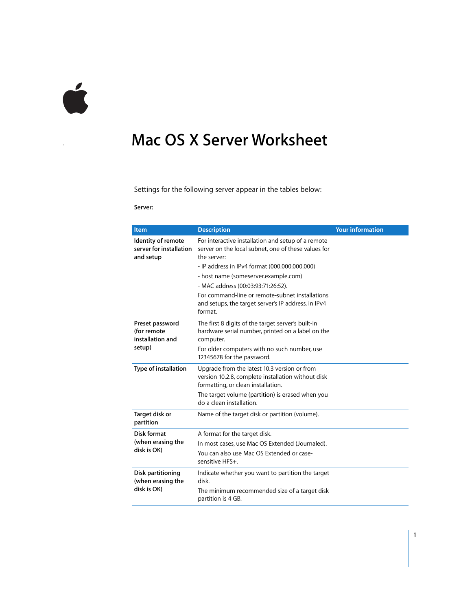

## **<sup>1</sup> Mac OS X Server Worksheet**

Settings for the following server appear in the tables below:

**Server:** 

| <b>Item</b>                                                | <b>Description</b>                                                                                                                                                        | <b>Your information</b> |
|------------------------------------------------------------|---------------------------------------------------------------------------------------------------------------------------------------------------------------------------|-------------------------|
| Identity of remote<br>server for installation<br>and setup | For interactive installation and setup of a remote<br>server on the local subnet, one of these values for<br>the server:<br>- IP address in IPv4 format (000.000.000.000) |                         |
|                                                            | - host name (someserver.example.com)                                                                                                                                      |                         |
|                                                            | - MAC address (00:03:93:71:26:52).                                                                                                                                        |                         |
|                                                            | For command-line or remote-subnet installations<br>and setups, the target server's IP address, in IPv4<br>format.                                                         |                         |
| Preset password<br>(for remote<br>installation and         | The first 8 digits of the target server's built-in<br>hardware serial number, printed on a label on the<br>computer.                                                      |                         |
| setup)                                                     | For older computers with no such number, use<br>12345678 for the password.                                                                                                |                         |
| Type of installation                                       | Upgrade from the latest 10.3 version or from<br>version 10.2.8, complete installation without disk<br>formatting, or clean installation.                                  |                         |
|                                                            | The target volume (partition) is erased when you<br>do a clean installation.                                                                                              |                         |
| Target disk or<br>partition                                | Name of the target disk or partition (volume).                                                                                                                            |                         |
| <b>Disk format</b>                                         | A format for the target disk.                                                                                                                                             |                         |
| (when erasing the<br>disk is OK)                           | In most cases, use Mac OS Extended (Journaled).                                                                                                                           |                         |
|                                                            | You can also use Mac OS Extended or case-<br>sensitive HFS+.                                                                                                              |                         |
| Disk partitioning<br>(when erasing the<br>disk is OK)      | Indicate whether you want to partition the target<br>disk.                                                                                                                |                         |
|                                                            | The minimum recommended size of a target disk<br>partition is 4 GB.                                                                                                       |                         |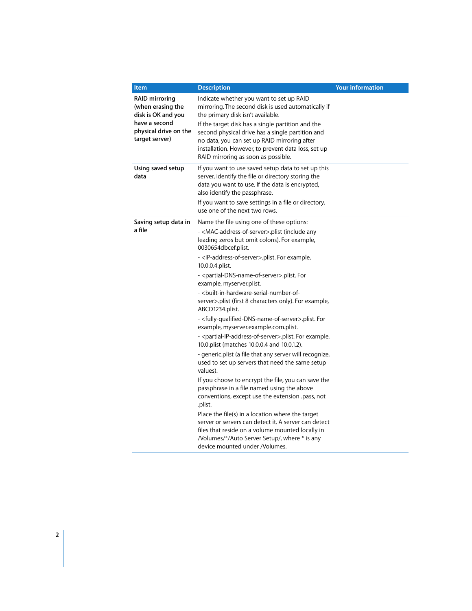| <b>Item</b>                                                                                                                  | <b>Description</b>                                                                                                                                                                                                                                   | <b>Your information</b> |
|------------------------------------------------------------------------------------------------------------------------------|------------------------------------------------------------------------------------------------------------------------------------------------------------------------------------------------------------------------------------------------------|-------------------------|
| <b>RAID mirroring</b><br>(when erasing the<br>disk is OK and you<br>have a second<br>physical drive on the<br>target server) | Indicate whether you want to set up RAID<br>mirroring. The second disk is used automatically if<br>the primary disk isn't available.                                                                                                                 |                         |
|                                                                                                                              | If the target disk has a single partition and the<br>second physical drive has a single partition and<br>no data, you can set up RAID mirroring after<br>installation. However, to prevent data loss, set up<br>RAID mirroring as soon as possible.  |                         |
| Using saved setup<br>data                                                                                                    | If you want to use saved setup data to set up this<br>server, identify the file or directory storing the<br>data you want to use. If the data is encrypted,<br>also identify the passphrase.<br>If you want to save settings in a file or directory, |                         |
|                                                                                                                              | use one of the next two rows.                                                                                                                                                                                                                        |                         |
| Saving setup data in                                                                                                         | Name the file using one of these options:                                                                                                                                                                                                            |                         |
| a file                                                                                                                       | - <mac-address-of-server>.plist (include any<br/>leading zeros but omit colons). For example,<br/>0030654dbcef.plist.</mac-address-of-server>                                                                                                        |                         |
|                                                                                                                              | - <ip-address-of-server>.plist. For example,<br/>10.0.0.4.plist.</ip-address-of-server>                                                                                                                                                              |                         |
|                                                                                                                              | - <partial-dns-name-of-server>.plist. For<br/>example, myserver.plist.</partial-dns-name-of-server>                                                                                                                                                  |                         |
|                                                                                                                              | - <built-in-hardware-serial-number-of-<br>server&gt;.plist (first 8 characters only). For example,<br/>ABCD1234.plist.</built-in-hardware-serial-number-of-<br>                                                                                      |                         |
|                                                                                                                              | - <fully-qualified-dns-name-of-server>.plist. For<br/>example, myserver.example.com.plist.</fully-qualified-dns-name-of-server>                                                                                                                      |                         |
|                                                                                                                              | - <partial-ip-address-of-server>.plist. For example,<br/>10.0.plist (matches 10.0.0.4 and 10.0.1.2).</partial-ip-address-of-server>                                                                                                                  |                         |
|                                                                                                                              | - generic.plist (a file that any server will recognize,<br>used to set up servers that need the same setup<br>values).                                                                                                                               |                         |
|                                                                                                                              | If you choose to encrypt the file, you can save the<br>passphrase in a file named using the above<br>conventions, except use the extension .pass, not<br>.plist.                                                                                     |                         |
|                                                                                                                              | Place the file(s) in a location where the target<br>server or servers can detect it. A server can detect<br>files that reside on a volume mounted locally in<br>/Volumes/*/Auto Server Setup/, where * is any<br>device mounted under /Volumes.      |                         |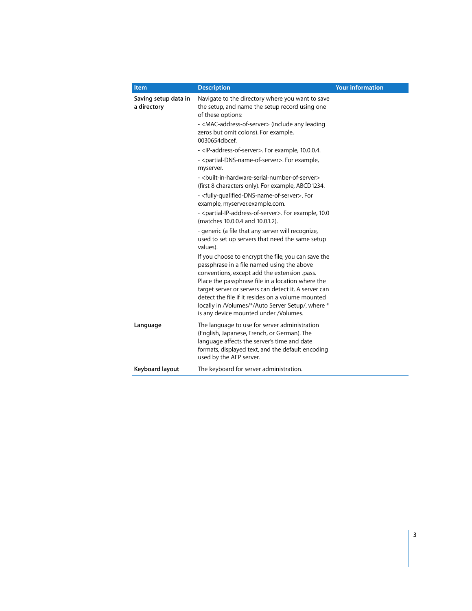| <b>Item</b>                         | <b>Description</b>                                                                                                                                                                                                          | <b>Your information</b> |
|-------------------------------------|-----------------------------------------------------------------------------------------------------------------------------------------------------------------------------------------------------------------------------|-------------------------|
| Saving setup data in<br>a directory | Navigate to the directory where you want to save<br>the setup, and name the setup record using one<br>of these options:                                                                                                     |                         |
|                                     | - <mac-address-of-server> (include any leading<br/>zeros but omit colons). For example,<br/>0030654dbcef.</mac-address-of-server>                                                                                           |                         |
|                                     | - <ip-address-of-server>. For example, 10.0.0.4.<br/>- <partial-dns-name-of-server>. For example,<br/>myserver.</partial-dns-name-of-server></ip-address-of-server>                                                         |                         |
|                                     | - <built-in-hardware-serial-number-of-server><br/>(first 8 characters only). For example, ABCD1234.</built-in-hardware-serial-number-of-server>                                                                             |                         |
|                                     | - <fully-qualified-dns-name-of-server>. For<br/>example, myserver.example.com.</fully-qualified-dns-name-of-server>                                                                                                         |                         |
|                                     | - <partial-ip-address-of-server>. For example, 10.0<br/>(matches 10.0.0.4 and 10.0.1.2).</partial-ip-address-of-server>                                                                                                     |                         |
|                                     | - generic (a file that any server will recognize,<br>used to set up servers that need the same setup<br>values).                                                                                                            |                         |
|                                     | If you choose to encrypt the file, you can save the<br>passphrase in a file named using the above<br>conventions, except add the extension .pass.<br>Place the passphrase file in a location where the                      |                         |
|                                     | target server or servers can detect it. A server can<br>detect the file if it resides on a volume mounted<br>locally in /Volumes/*/Auto Server Setup/, where *<br>is any device mounted under /Volumes.                     |                         |
| Language                            | The language to use for server administration<br>(English, Japanese, French, or German). The<br>language affects the server's time and date<br>formats, displayed text, and the default encoding<br>used by the AFP server. |                         |
| Keyboard layout                     | The keyboard for server administration.                                                                                                                                                                                     |                         |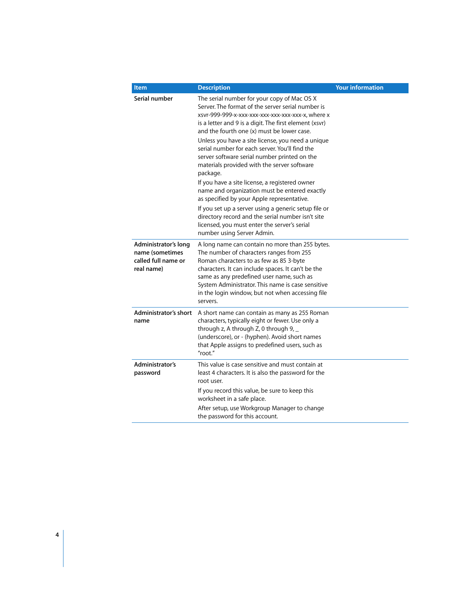| Item                                                                         | <b>Description</b>                                                                                                                                                                                                                                                                                                                                             | <b>Your information</b> |
|------------------------------------------------------------------------------|----------------------------------------------------------------------------------------------------------------------------------------------------------------------------------------------------------------------------------------------------------------------------------------------------------------------------------------------------------------|-------------------------|
| Serial number                                                                | The serial number for your copy of Mac OS X<br>Server. The format of the server serial number is<br>xsvr-999-999-x-xxx-xxx-xxx-xxx-xxx-xxx-x, where x<br>is a letter and 9 is a digit. The first element (xsvr)<br>and the fourth one (x) must be lower case.                                                                                                  |                         |
|                                                                              | Unless you have a site license, you need a unique<br>serial number for each server. You'll find the<br>server software serial number printed on the<br>materials provided with the server software<br>package.                                                                                                                                                 |                         |
|                                                                              | If you have a site license, a registered owner<br>name and organization must be entered exactly<br>as specified by your Apple representative.                                                                                                                                                                                                                  |                         |
|                                                                              | If you set up a server using a generic setup file or<br>directory record and the serial number isn't site<br>licensed, you must enter the server's serial<br>number using Server Admin.                                                                                                                                                                        |                         |
| Administrator's long<br>name (sometimes<br>called full name or<br>real name) | A long name can contain no more than 255 bytes.<br>The number of characters ranges from 255<br>Roman characters to as few as 85 3-byte<br>characters. It can include spaces. It can't be the<br>same as any predefined user name, such as<br>System Administrator. This name is case sensitive<br>in the login window, but not when accessing file<br>servers. |                         |
| Administrator's short<br>name                                                | A short name can contain as many as 255 Roman<br>characters, typically eight or fewer. Use only a<br>through z, A through Z, 0 through $9,$<br>(underscore), or - (hyphen). Avoid short names<br>that Apple assigns to predefined users, such as<br>"root."                                                                                                    |                         |
| Administrator's<br>password                                                  | This value is case sensitive and must contain at<br>least 4 characters. It is also the password for the<br>root user.                                                                                                                                                                                                                                          |                         |
|                                                                              | If you record this value, be sure to keep this<br>worksheet in a safe place.                                                                                                                                                                                                                                                                                   |                         |
|                                                                              | After setup, use Workgroup Manager to change<br>the password for this account.                                                                                                                                                                                                                                                                                 |                         |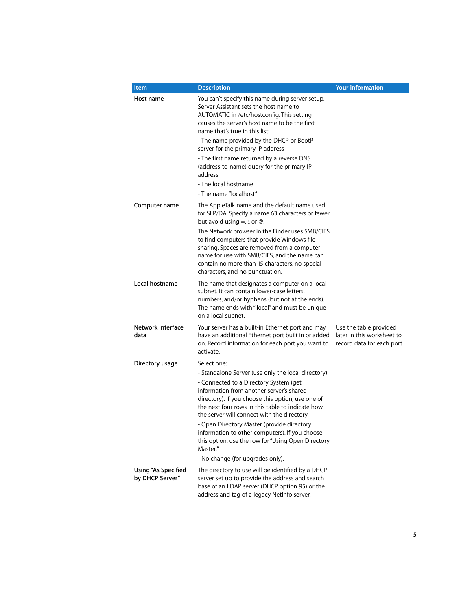| <b>Item</b>                            | <b>Description</b>                                                                                                                                                                                                                                                                                                                                                                                                                                                                                                      | <b>Your information</b>                                                            |
|----------------------------------------|-------------------------------------------------------------------------------------------------------------------------------------------------------------------------------------------------------------------------------------------------------------------------------------------------------------------------------------------------------------------------------------------------------------------------------------------------------------------------------------------------------------------------|------------------------------------------------------------------------------------|
| Host name                              | You can't specify this name during server setup.<br>Server Assistant sets the host name to<br>AUTOMATIC in /etc/hostconfig. This setting<br>causes the server's host name to be the first<br>name that's true in this list:<br>- The name provided by the DHCP or BootP<br>server for the primary IP address<br>- The first name returned by a reverse DNS<br>(address-to-name) query for the primary IP<br>address<br>- The local hostname<br>- The name "localhost"                                                   |                                                                                    |
| Computer name                          | The AppleTalk name and the default name used<br>for SLP/DA. Specify a name 63 characters or fewer<br>but avoid using $=$ , :, or $\varnothing$ .<br>The Network browser in the Finder uses SMB/CIFS<br>to find computers that provide Windows file<br>sharing. Spaces are removed from a computer<br>name for use with SMB/CIFS, and the name can<br>contain no more than 15 characters, no special<br>characters, and no punctuation.                                                                                  |                                                                                    |
| Local hostname                         | The name that designates a computer on a local<br>subnet. It can contain lower-case letters.<br>numbers, and/or hyphens (but not at the ends).<br>The name ends with ".local" and must be unique<br>on a local subnet.                                                                                                                                                                                                                                                                                                  |                                                                                    |
| Network interface<br>data              | Your server has a built-in Ethernet port and may<br>have an additional Ethernet port built in or added<br>on. Record information for each port you want to<br>activate.                                                                                                                                                                                                                                                                                                                                                 | Use the table provided<br>later in this worksheet to<br>record data for each port. |
| Directory usage                        | Select one:<br>- Standalone Server (use only the local directory).<br>- Connected to a Directory System (get)<br>information from another server's shared<br>directory). If you choose this option, use one of<br>the next four rows in this table to indicate how<br>the server will connect with the directory.<br>- Open Directory Master (provide directory<br>information to other computers). If you choose<br>this option, use the row for "Using Open Directory<br>Master."<br>- No change (for upgrades only). |                                                                                    |
| Using "As Specified<br>by DHCP Server" | The directory to use will be identified by a DHCP<br>server set up to provide the address and search<br>base of an LDAP server (DHCP option 95) or the<br>address and tag of a legacy NetInfo server.                                                                                                                                                                                                                                                                                                                   |                                                                                    |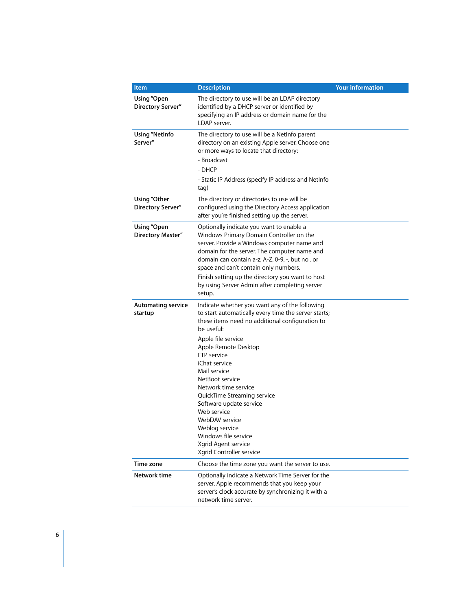| Item                                 | <b>Description</b>                                                                                                                                                                                                                                                                                                                                                                                                                                                                                       | <b>Your information</b> |
|--------------------------------------|----------------------------------------------------------------------------------------------------------------------------------------------------------------------------------------------------------------------------------------------------------------------------------------------------------------------------------------------------------------------------------------------------------------------------------------------------------------------------------------------------------|-------------------------|
| Using "Open<br>Directory Server"     | The directory to use will be an LDAP directory<br>identified by a DHCP server or identified by<br>specifying an IP address or domain name for the<br>LDAP server.                                                                                                                                                                                                                                                                                                                                        |                         |
| <b>Using "NetInfo</b><br>Server"     | The directory to use will be a NetInfo parent<br>directory on an existing Apple server. Choose one<br>or more ways to locate that directory:<br>- Broadcast<br>$-DHCP$<br>- Static IP Address (specify IP address and NetInfo<br>tag)                                                                                                                                                                                                                                                                    |                         |
| Using "Other<br>Directory Server"    | The directory or directories to use will be<br>configured using the Directory Access application<br>after you're finished setting up the server.                                                                                                                                                                                                                                                                                                                                                         |                         |
| Using "Open<br>Directory Master"     | Optionally indicate you want to enable a<br>Windows Primary Domain Controller on the<br>server. Provide a Windows computer name and<br>domain for the server. The computer name and<br>domain can contain a-z, A-Z, 0-9, -, but no . or<br>space and can't contain only numbers.<br>Finish setting up the directory you want to host<br>by using Server Admin after completing server<br>setup.                                                                                                          |                         |
| <b>Automating service</b><br>startup | Indicate whether you want any of the following<br>to start automatically every time the server starts;<br>these items need no additional configuration to<br>be useful:<br>Apple file service<br>Apple Remote Desktop<br>FTP service<br>iChat service<br>Mail service<br>NetBoot service<br>Network time service<br>QuickTime Streaming service<br>Software update service<br>Web service<br>WebDAV service<br>Weblog service<br>Windows file service<br>Xgrid Agent service<br>Xgrid Controller service |                         |
| Time zone                            | Choose the time zone you want the server to use.                                                                                                                                                                                                                                                                                                                                                                                                                                                         |                         |
| Network time                         | Optionally indicate a Network Time Server for the<br>server. Apple recommends that you keep your<br>server's clock accurate by synchronizing it with a<br>network time server.                                                                                                                                                                                                                                                                                                                           |                         |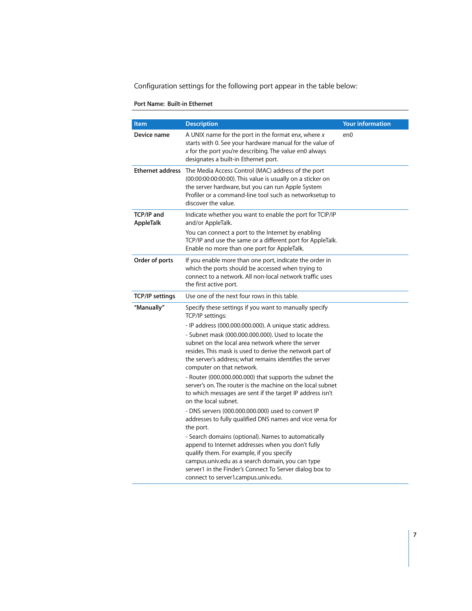Configuration settings for the following port appear in the table below:

## **Port Name: Built-in Ethernet**

| <b>Item</b>             | <b>Description</b>                                                                                                                                                                                                                                                                                                                                                                                                                                                                                                                                                                                                                                                                                                                                                                                                                                                                                                                                                                                                            | <b>Your information</b> |
|-------------------------|-------------------------------------------------------------------------------------------------------------------------------------------------------------------------------------------------------------------------------------------------------------------------------------------------------------------------------------------------------------------------------------------------------------------------------------------------------------------------------------------------------------------------------------------------------------------------------------------------------------------------------------------------------------------------------------------------------------------------------------------------------------------------------------------------------------------------------------------------------------------------------------------------------------------------------------------------------------------------------------------------------------------------------|-------------------------|
| Device name             | A UNIX name for the port in the format enx, where $x$<br>starts with 0. See your hardware manual for the value of<br>x for the port you're describing. The value en0 always<br>designates a built-in Ethernet port.                                                                                                                                                                                                                                                                                                                                                                                                                                                                                                                                                                                                                                                                                                                                                                                                           | en0                     |
|                         | Ethernet address The Media Access Control (MAC) address of the port<br>(00:00:00:00:00:00). This value is usually on a sticker on<br>the server hardware, but you can run Apple System<br>Profiler or a command-line tool such as networksetup to<br>discover the value.                                                                                                                                                                                                                                                                                                                                                                                                                                                                                                                                                                                                                                                                                                                                                      |                         |
| TCP/IP and<br>AppleTalk | Indicate whether you want to enable the port for TCIP/IP<br>and/or AppleTalk.<br>You can connect a port to the Internet by enabling<br>TCP/IP and use the same or a different port for AppleTalk.<br>Enable no more than one port for AppleTalk.                                                                                                                                                                                                                                                                                                                                                                                                                                                                                                                                                                                                                                                                                                                                                                              |                         |
| Order of ports          | If you enable more than one port, indicate the order in<br>which the ports should be accessed when trying to<br>connect to a network. All non-local network traffic uses<br>the first active port.                                                                                                                                                                                                                                                                                                                                                                                                                                                                                                                                                                                                                                                                                                                                                                                                                            |                         |
| <b>TCP/IP settings</b>  | Use one of the next four rows in this table.                                                                                                                                                                                                                                                                                                                                                                                                                                                                                                                                                                                                                                                                                                                                                                                                                                                                                                                                                                                  |                         |
| "Manually"              | Specify these settings if you want to manually specify<br>TCP/IP settings:<br>- IP address (000.000.000.000). A unique static address.<br>- Subnet mask (000,000,000,000). Used to locate the<br>subnet on the local area network where the server<br>resides. This mask is used to derive the network part of<br>the server's address; what remains identifies the server<br>computer on that network.<br>- Router (000.000.000.000) that supports the subnet the<br>server's on. The router is the machine on the local subnet<br>to which messages are sent if the target IP address isn't<br>on the local subnet.<br>- DNS servers (000.000.000.000) used to convert IP<br>addresses to fully qualified DNS names and vice versa for<br>the port.<br>- Search domains (optional). Names to automatically<br>append to Internet addresses when you don't fully<br>qualify them. For example, if you specify<br>campus.univ.edu as a search domain, you can type<br>server1 in the Finder's Connect To Server dialog box to |                         |
|                         | connect to server1.campus.univ.edu.                                                                                                                                                                                                                                                                                                                                                                                                                                                                                                                                                                                                                                                                                                                                                                                                                                                                                                                                                                                           |                         |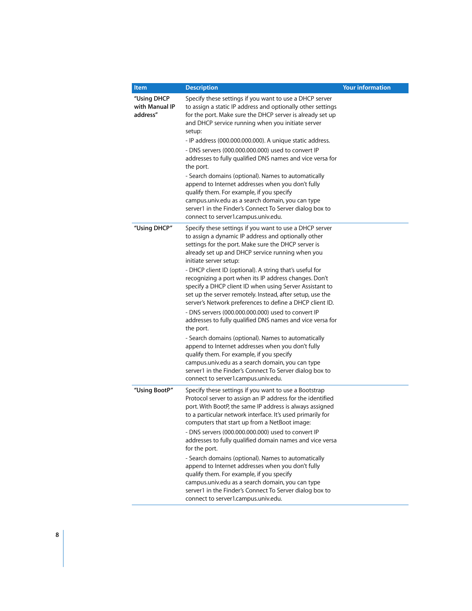| <b>Item</b>                               | <b>Description</b>                                                                                                                                                                                                                                                                                                                                                                                                                                                                                                                                                                                                                                                                                                                                                                                                                                                                                                                                                                                         | <b>Your information</b> |
|-------------------------------------------|------------------------------------------------------------------------------------------------------------------------------------------------------------------------------------------------------------------------------------------------------------------------------------------------------------------------------------------------------------------------------------------------------------------------------------------------------------------------------------------------------------------------------------------------------------------------------------------------------------------------------------------------------------------------------------------------------------------------------------------------------------------------------------------------------------------------------------------------------------------------------------------------------------------------------------------------------------------------------------------------------------|-------------------------|
| "Using DHCP<br>with Manual IP<br>address" | Specify these settings if you want to use a DHCP server<br>to assign a static IP address and optionally other settings<br>for the port. Make sure the DHCP server is already set up<br>and DHCP service running when you initiate server<br>setup:<br>- IP address (000.000.000.000). A unique static address.<br>- DNS servers (000.000.000.000) used to convert IP<br>addresses to fully qualified DNS names and vice versa for<br>the port.<br>- Search domains (optional). Names to automatically<br>append to Internet addresses when you don't fully<br>qualify them. For example, if you specify<br>campus.univ.edu as a search domain, you can type<br>server1 in the Finder's Connect To Server dialog box to<br>connect to server1.campus.univ.edu.                                                                                                                                                                                                                                              |                         |
| "Using DHCP"                              | Specify these settings if you want to use a DHCP server<br>to assign a dynamic IP address and optionally other<br>settings for the port. Make sure the DHCP server is<br>already set up and DHCP service running when you<br>initiate server setup:<br>- DHCP client ID (optional). A string that's useful for<br>recognizing a port when its IP address changes. Don't<br>specify a DHCP client ID when using Server Assistant to<br>set up the server remotely. Instead, after setup, use the<br>server's Network preferences to define a DHCP client ID.<br>- DNS servers (000.000.000.000) used to convert IP<br>addresses to fully qualified DNS names and vice versa for<br>the port.<br>- Search domains (optional). Names to automatically<br>append to Internet addresses when you don't fully<br>qualify them. For example, if you specify<br>campus.univ.edu as a search domain, you can type<br>server1 in the Finder's Connect To Server dialog box to<br>connect to server1.campus.univ.edu. |                         |
| "Using BootP"                             | Specify these settings if you want to use a Bootstrap<br>Protocol server to assign an IP address for the identified<br>port. With BootP, the same IP address is always assigned<br>to a particular network interface. It's used primarily for<br>computers that start up from a NetBoot image:<br>- DNS servers (000.000.000.000) used to convert IP<br>addresses to fully qualified domain names and vice versa<br>for the port.<br>- Search domains (optional). Names to automatically<br>append to Internet addresses when you don't fully<br>qualify them. For example, if you specify<br>campus.univ.edu as a search domain, you can type<br>server1 in the Finder's Connect To Server dialog box to<br>connect to server1.campus.univ.edu.                                                                                                                                                                                                                                                           |                         |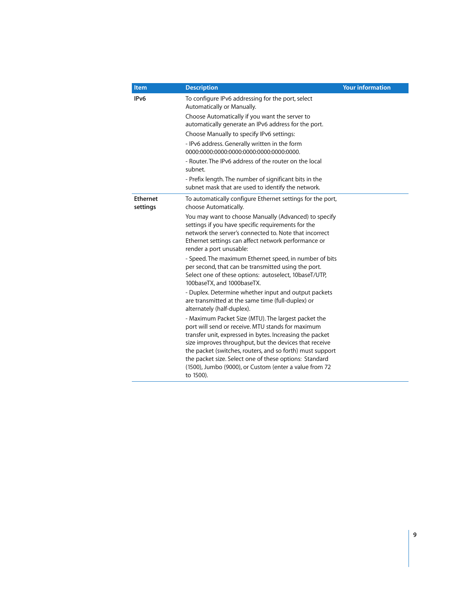| <b>Item</b>                 | <b>Description</b>                                                                                                                                                                                                                                      | <b>Your information</b> |
|-----------------------------|---------------------------------------------------------------------------------------------------------------------------------------------------------------------------------------------------------------------------------------------------------|-------------------------|
| IP <sub>v6</sub>            | To configure IPv6 addressing for the port, select<br>Automatically or Manually.                                                                                                                                                                         |                         |
|                             | Choose Automatically if you want the server to<br>automatically generate an IPv6 address for the port.                                                                                                                                                  |                         |
|                             | Choose Manually to specify IPv6 settings:                                                                                                                                                                                                               |                         |
|                             | - IPv6 address. Generally written in the form<br>0000:0000:0000:0000:0000:0000:0000:0000.                                                                                                                                                               |                         |
|                             | - Router. The IPv6 address of the router on the local<br>subnet.                                                                                                                                                                                        |                         |
|                             | - Prefix length. The number of significant bits in the<br>subnet mask that are used to identify the network.                                                                                                                                            |                         |
| <b>Ethernet</b><br>settings | To automatically configure Ethernet settings for the port,<br>choose Automatically.                                                                                                                                                                     |                         |
|                             | You may want to choose Manually (Advanced) to specify<br>settings if you have specific requirements for the<br>network the server's connected to. Note that incorrect<br>Ethernet settings can affect network performance or<br>render a port unusable: |                         |
|                             | - Speed. The maximum Ethernet speed, in number of bits<br>per second, that can be transmitted using the port.<br>Select one of these options: autoselect, 10baseT/UTP,<br>100baseTX, and 1000baseTX.                                                    |                         |
|                             | - Duplex. Determine whether input and output packets<br>are transmitted at the same time (full-duplex) or<br>alternately (half-duplex).                                                                                                                 |                         |
|                             | - Maximum Packet Size (MTU). The largest packet the<br>port will send or receive. MTU stands for maximum<br>transfer unit, expressed in bytes. Increasing the packet                                                                                    |                         |
|                             | size improves throughput, but the devices that receive<br>the packet (switches, routers, and so forth) must support                                                                                                                                     |                         |
|                             | the packet size. Select one of these options: Standard<br>(1500), Jumbo (9000), or Custom (enter a value from 72<br>to 1500).                                                                                                                           |                         |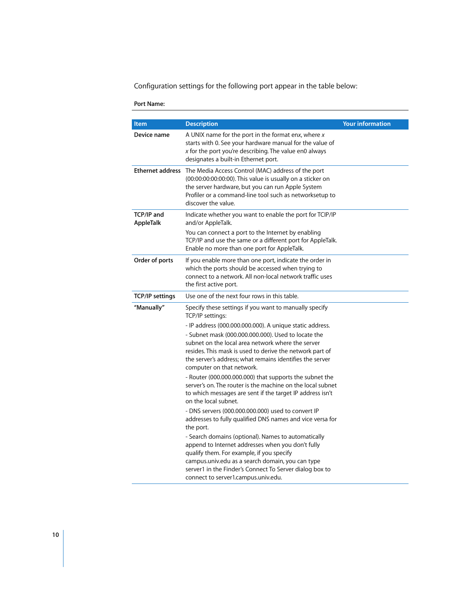Configuration settings for the following port appear in the table below:

## **Port Name:**

| <b>Item</b>             | <b>Description</b>                                                                                                                                                                                                                                                                                                                                                                                      | <b>Your information</b> |
|-------------------------|---------------------------------------------------------------------------------------------------------------------------------------------------------------------------------------------------------------------------------------------------------------------------------------------------------------------------------------------------------------------------------------------------------|-------------------------|
| Device name             | A UNIX name for the port in the format enx, where $x$<br>starts with 0. See your hardware manual for the value of<br>$x$ for the port you're describing. The value en0 always<br>designates a built-in Ethernet port.                                                                                                                                                                                   |                         |
|                         | Ethernet address The Media Access Control (MAC) address of the port<br>(00:00:00:00:00:00). This value is usually on a sticker on<br>the server hardware, but you can run Apple System<br>Profiler or a command-line tool such as networksetup to<br>discover the value.                                                                                                                                |                         |
| TCP/IP and<br>AppleTalk | Indicate whether you want to enable the port for TCIP/IP<br>and/or AppleTalk.<br>You can connect a port to the Internet by enabling<br>TCP/IP and use the same or a different port for AppleTalk.<br>Enable no more than one port for AppleTalk.                                                                                                                                                        |                         |
| Order of ports          | If you enable more than one port, indicate the order in<br>which the ports should be accessed when trying to<br>connect to a network. All non-local network traffic uses<br>the first active port.                                                                                                                                                                                                      |                         |
| <b>TCP/IP settings</b>  | Use one of the next four rows in this table.                                                                                                                                                                                                                                                                                                                                                            |                         |
| "Manually"              | Specify these settings if you want to manually specify<br>TCP/IP settings:<br>- IP address (000.000.000.000). A unique static address.<br>- Subnet mask (000.000.000.000). Used to locate the<br>subnet on the local area network where the server<br>resides. This mask is used to derive the network part of<br>the server's address: what remains identifies the server<br>computer on that network. |                         |
|                         | - Router (000.000.000.000) that supports the subnet the<br>server's on. The router is the machine on the local subnet<br>to which messages are sent if the target IP address isn't<br>on the local subnet.<br>- DNS servers (000.000.000.000) used to convert IP<br>addresses to fully qualified DNS names and vice versa for                                                                           |                         |
|                         | the port.<br>- Search domains (optional). Names to automatically<br>append to Internet addresses when you don't fully<br>qualify them. For example, if you specify<br>campus.univ.edu as a search domain, you can type<br>server1 in the Finder's Connect To Server dialog box to<br>connect to server1.campus.univ.edu.                                                                                |                         |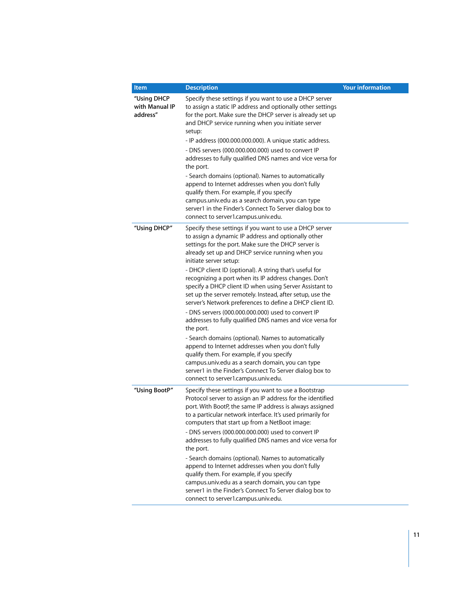| Item                                      | <b>Description</b>                                                                                                                                                                                                                                                                                                                                                                                                                                                                                                                                                                                                                                                                                                                                                                                                                                                                                                                                                                                         | <b>Your information</b> |
|-------------------------------------------|------------------------------------------------------------------------------------------------------------------------------------------------------------------------------------------------------------------------------------------------------------------------------------------------------------------------------------------------------------------------------------------------------------------------------------------------------------------------------------------------------------------------------------------------------------------------------------------------------------------------------------------------------------------------------------------------------------------------------------------------------------------------------------------------------------------------------------------------------------------------------------------------------------------------------------------------------------------------------------------------------------|-------------------------|
| "Using DHCP<br>with Manual IP<br>address" | Specify these settings if you want to use a DHCP server<br>to assign a static IP address and optionally other settings<br>for the port. Make sure the DHCP server is already set up<br>and DHCP service running when you initiate server<br>setup:<br>- IP address (000.000.000.000). A unique static address.<br>- DNS servers (000.000.000.000) used to convert IP<br>addresses to fully qualified DNS names and vice versa for<br>the port.<br>- Search domains (optional). Names to automatically<br>append to Internet addresses when you don't fully<br>qualify them. For example, if you specify<br>campus.univ.edu as a search domain, you can type<br>server1 in the Finder's Connect To Server dialog box to<br>connect to server1.campus.univ.edu.                                                                                                                                                                                                                                              |                         |
| "Using DHCP"                              | Specify these settings if you want to use a DHCP server<br>to assign a dynamic IP address and optionally other<br>settings for the port. Make sure the DHCP server is<br>already set up and DHCP service running when you<br>initiate server setup:<br>- DHCP client ID (optional). A string that's useful for<br>recognizing a port when its IP address changes. Don't<br>specify a DHCP client ID when using Server Assistant to<br>set up the server remotely. Instead, after setup, use the<br>server's Network preferences to define a DHCP client ID.<br>- DNS servers (000.000.000.000) used to convert IP<br>addresses to fully qualified DNS names and vice versa for<br>the port.<br>- Search domains (optional). Names to automatically<br>append to Internet addresses when you don't fully<br>qualify them. For example, if you specify<br>campus.univ.edu as a search domain, you can type<br>server1 in the Finder's Connect To Server dialog box to<br>connect to server1.campus.univ.edu. |                         |
| "Using BootP"                             | Specify these settings if you want to use a Bootstrap<br>Protocol server to assign an IP address for the identified<br>port. With BootP, the same IP address is always assigned<br>to a particular network interface. It's used primarily for<br>computers that start up from a NetBoot image:<br>- DNS servers (000.000.000.000) used to convert IP<br>addresses to fully qualified DNS names and vice versa for<br>the port.<br>- Search domains (optional). Names to automatically<br>append to Internet addresses when you don't fully<br>qualify them. For example, if you specify<br>campus.univ.edu as a search domain, you can type<br>server1 in the Finder's Connect To Server dialog box to<br>connect to server1.campus.univ.edu.                                                                                                                                                                                                                                                              |                         |